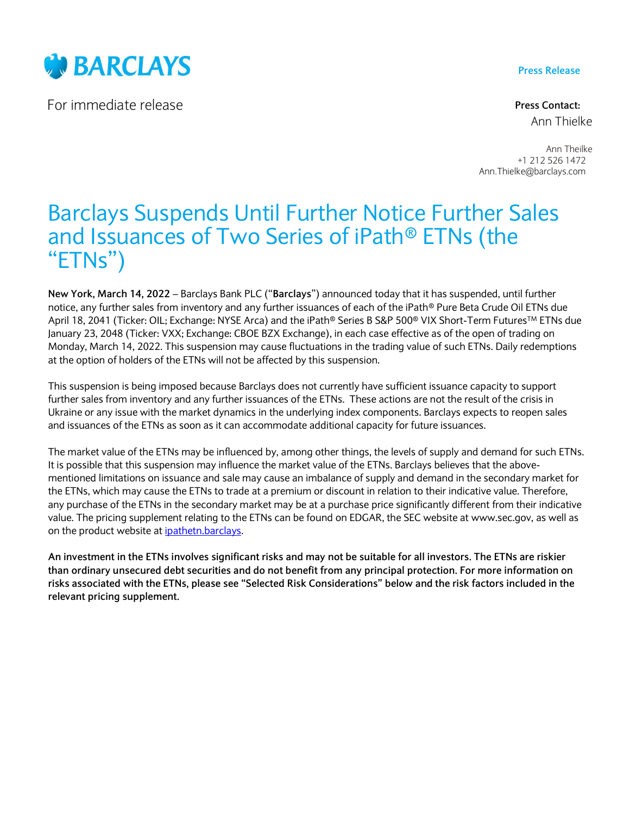

For immediate release **Press Contact:** 

### Press Release

Ann Thielke

Ann Theilke +1 212 526 1472 Ann.Thielke@barclays.com

# Barclays Suspends Until Further Notice Further Sales and Issuances of Two Series of iPath® ETNs (the "ETNs")

New York, March 14, 2022 – Barclays Bank PLC ("Barclays") announced today that it has suspended, until further notice, any further sales from inventory and any further issuances of each of the iPath® Pure Beta Crude Oil ETNs due April 18, 2041 (Ticker: OIL; Exchange: NYSE Arca) and the iPath® Series B S&P 500® VIX Short-Term Futures™ ETNs due January 23, 2048 (Ticker: VXX; Exchange: CBOE BZX Exchange), in each case effective as of the open of trading on Monday, March 14, 2022. This suspension may cause fluctuations in the trading value of such ETNs. Daily redemptions at the option of holders of the ETNs will not be affected by this suspension.

This suspension is being imposed because Barclays does not currently have sufficient issuance capacity to support further sales from inventory and any further issuances of the ETNs. These actions are not the result of the crisis in Ukraine or any issue with the market dynamics in the underlying index components. Barclays expects to reopen sales and issuances of the ETNs as soon as it can accommodate additional capacity for future issuances.

The market value of the ETNs may be influenced by, among other things, the levels of supply and demand for such ETNs. It is possible that this suspension may influence the market value of the ETNs. Barclays believes that the abovementioned limitations on issuance and sale may cause an imbalance of supply and demand in the secondary market for the ETNs, which may cause the ETNs to trade at a premium or discount in relation to their indicative value. Therefore, any purchase of the ETNs in the secondary market may be at a purchase price significantly different from their indicative value. The pricing supplement relating to the ETNs can be found on EDGAR, the SEC website at www.sec.gov, as well as on the product website at ipathetn.barclays.

An investment in the ETNs involves significant risks and may not be suitable for all investors. The ETNs are riskier than ordinary unsecured debt securities and do not benefit from any principal protection. For more information on risks associated with the ETNs, please see "Selected Risk Considerations" below and the risk factors included in the relevant pricing supplement.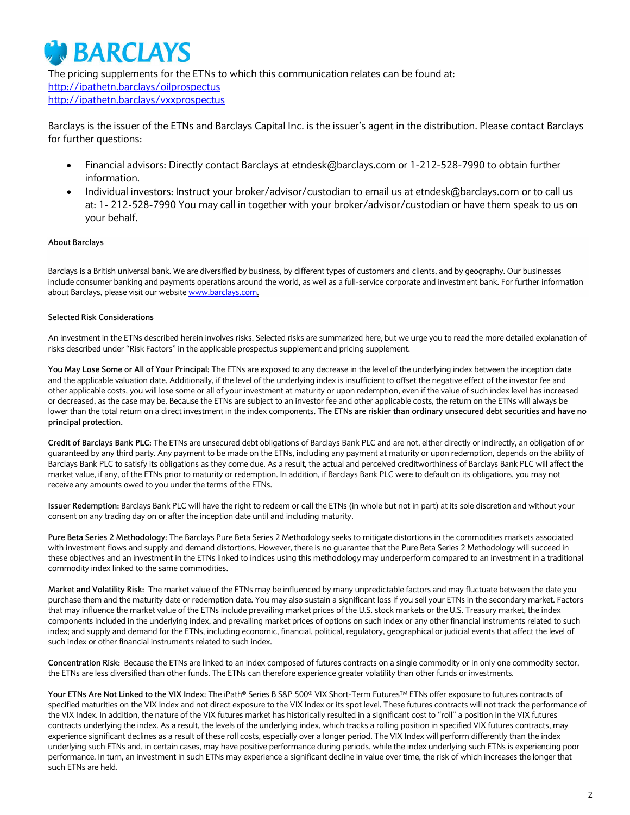

The pricing supplements for the ETNs to which this communication relates can be found at: http://ipathetn.barclays/oilprospectus http://ipathetn.barclays/vxxprospectus

Barclays is the issuer of the ETNs and Barclays Capital Inc. is the issuer's agent in the distribution. Please contact Barclays for further questions:

- Financial advisors: Directly contact Barclays at etndesk@barclays.com or 1-212-528-7990 to obtain further information.
- Individual investors: Instruct your broker/advisor/custodian to email us at etndesk@barclays.com or to call us at: 1- 212-528-7990 You may call in together with your broker/advisor/custodian or have them speak to us on your behalf.

#### About Barclays

Barclays is a British universal bank. We are diversified by business, by different types of customers and clients, and by geography. Our businesses include consumer banking and payments operations around the world, as well as a full-service corporate and investment bank. For further information about Barclays, please visit our website www.barclays.com.

#### Selected Risk Considerations

An investment in the ETNs described herein involves risks. Selected risks are summarized here, but we urge you to read the more detailed explanation of risks described under "Risk Factors" in the applicable prospectus supplement and pricing supplement.

You May Lose Some or All of Your Principal: The ETNs are exposed to any decrease in the level of the underlying index between the inception date and the applicable valuation date. Additionally, if the level of the underlying index is insufficient to offset the negative effect of the investor fee and other applicable costs, you will lose some or all of your investment at maturity or upon redemption, even if the value of such index level has increased or decreased, as the case may be. Because the ETNs are subject to an investor fee and other applicable costs, the return on the ETNs will always be lower than the total return on a direct investment in the index components. The ETNs are riskier than ordinary unsecured debt securities and have no principal protection.

Credit of Barclays Bank PLC: The ETNs are unsecured debt obligations of Barclays Bank PLC and are not, either directly or indirectly, an obligation of or guaranteed by any third party. Any payment to be made on the ETNs, including any payment at maturity or upon redemption, depends on the ability of Barclays Bank PLC to satisfy its obligations as they come due. As a result, the actual and perceived creditworthiness of Barclays Bank PLC will affect the market value, if any, of the ETNs prior to maturity or redemption. In addition, if Barclays Bank PLC were to default on its obligations, you may not receive any amounts owed to you under the terms of the ETNs.

Issuer Redemption: Barclays Bank PLC will have the right to redeem or call the ETNs (in whole but not in part) at its sole discretion and without your consent on any trading day on or after the inception date until and including maturity.

Pure Beta Series 2 Methodology: The Barclays Pure Beta Series 2 Methodology seeks to mitigate distortions in the commodities markets associated with investment flows and supply and demand distortions. However, there is no guarantee that the Pure Beta Series 2 Methodology will succeed in these objectives and an investment in the ETNs linked to indices using this methodology may underperform compared to an investment in a traditional commodity index linked to the same commodities.

Market and Volatility Risk: The market value of the ETNs may be influenced by many unpredictable factors and may fluctuate between the date you purchase them and the maturity date or redemption date. You may also sustain a significant loss if you sell your ETNs in the secondary market. Factors that may influence the market value of the ETNs include prevailing market prices of the U.S. stock markets or the U.S. Treasury market, the index components included in the underlying index, and prevailing market prices of options on such index or any other financial instruments related to such index; and supply and demand for the ETNs, including economic, financial, political, regulatory, geographical or judicial events that affect the level of such index or other financial instruments related to such index.

Concentration Risk: Because the ETNs are linked to an index composed of futures contracts on a single commodity or in only one commodity sector, the ETNs are less diversified than other funds. The ETNs can therefore experience greater volatility than other funds or investments.

Your ETNs Are Not Linked to the VIX Index: The iPath® Series B S&P 500® VIX Short-Term Futures™ ETNs offer exposure to futures contracts of specified maturities on the VIX Index and not direct exposure to the VIX Index or its spot level. These futures contracts will not track the performance of the VIX Index. In addition, the nature of the VIX futures market has historically resulted in a significant cost to "roll" a position in the VIX futures contracts underlying the index. As a result, the levels of the underlying index, which tracks a rolling position in specified VIX futures contracts, may experience significant declines as a result of these roll costs, especially over a longer period. The VIX Index will perform differently than the index underlying such ETNs and, in certain cases, may have positive performance during periods, while the index underlying such ETNs is experiencing poor performance. In turn, an investment in such ETNs may experience a significant decline in value over time, the risk of which increases the longer that such ETNs are held.